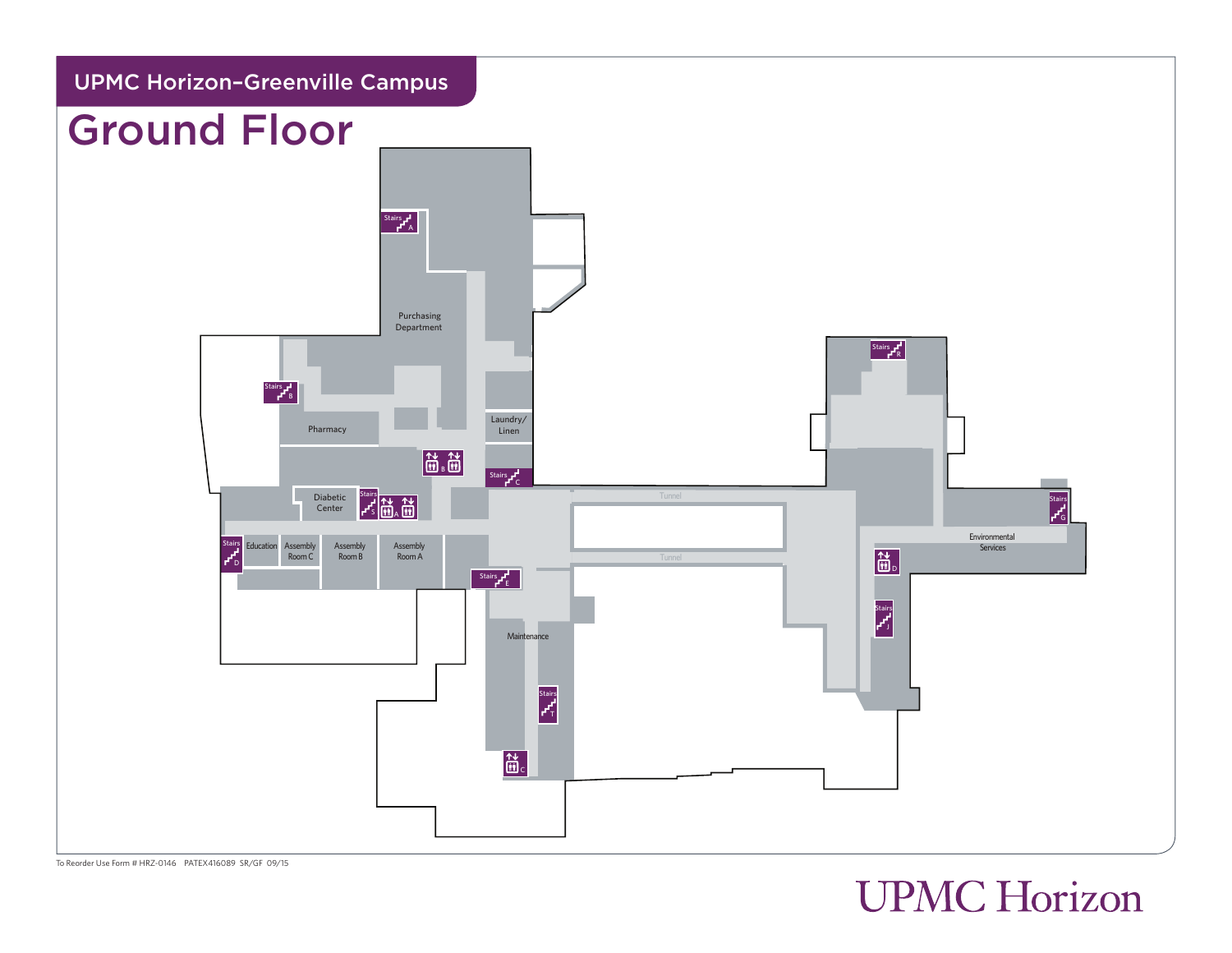

To Reorder Use Form # HRZ-0146 PATEX416089 SR/GF 09/15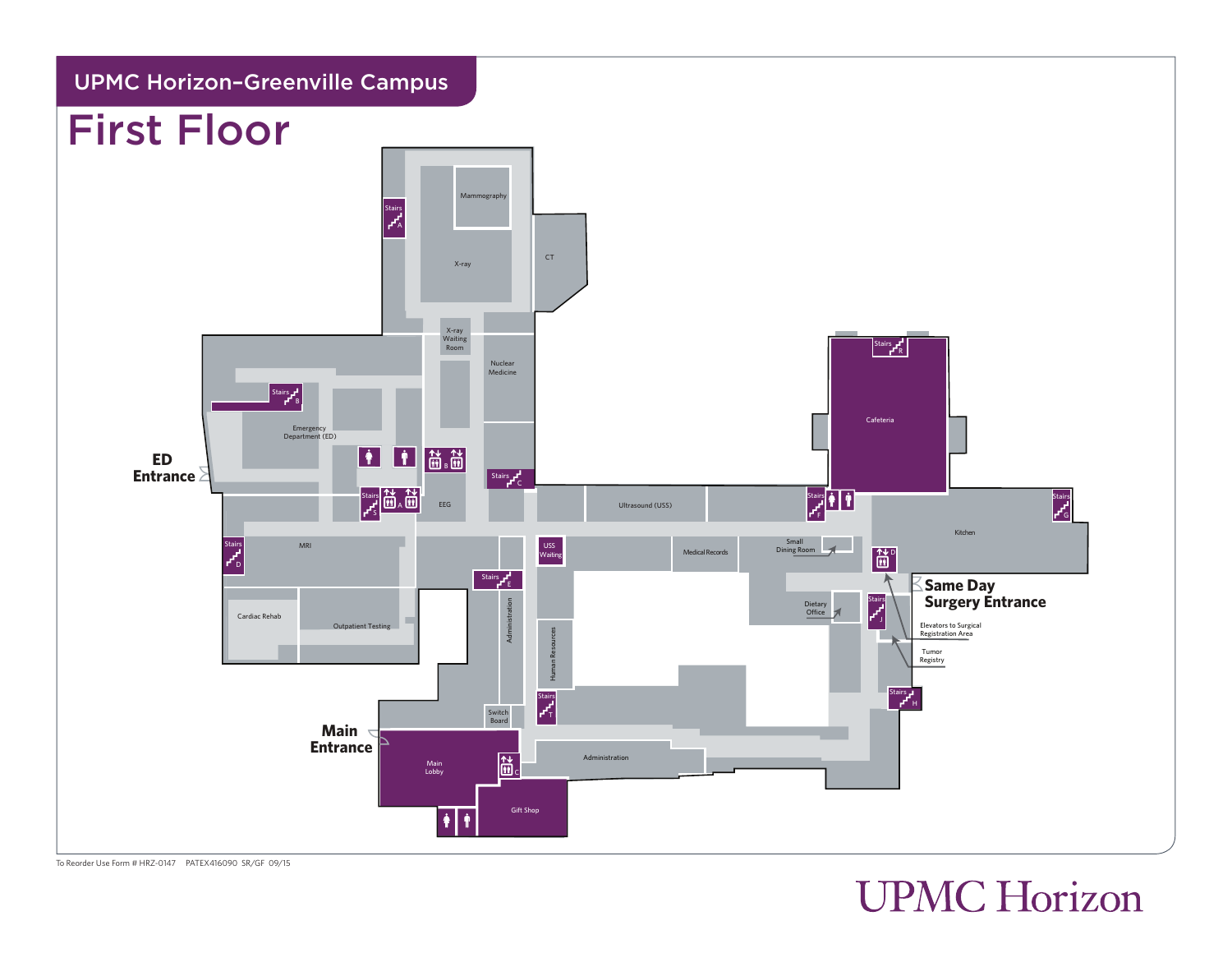

#### To Reorder Use Form # HRZ-0147 PATEX416090 SR/GF 09/15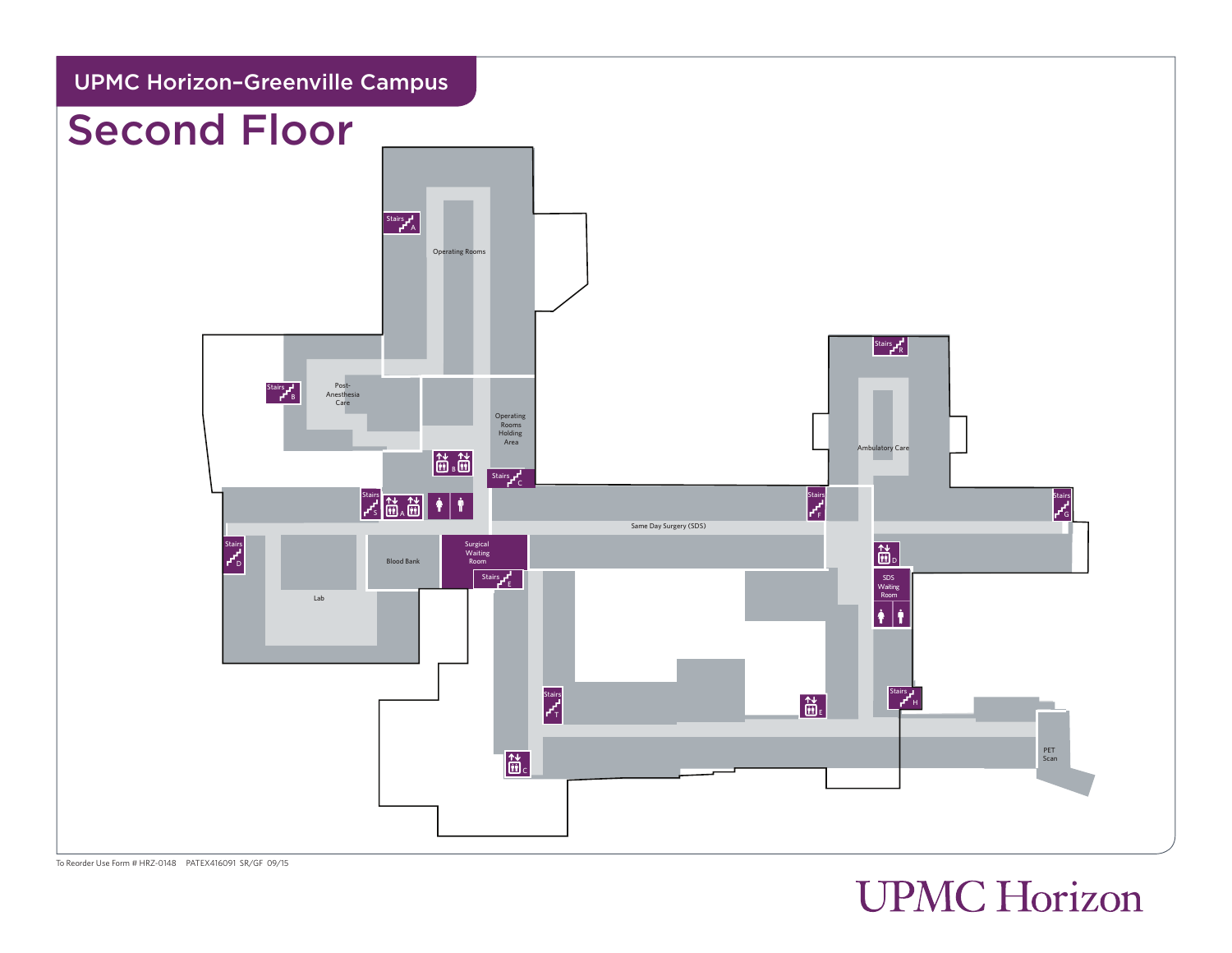

To Reorder Use Form # HRZ-0148 PATEX416091 SR/GF 09/15